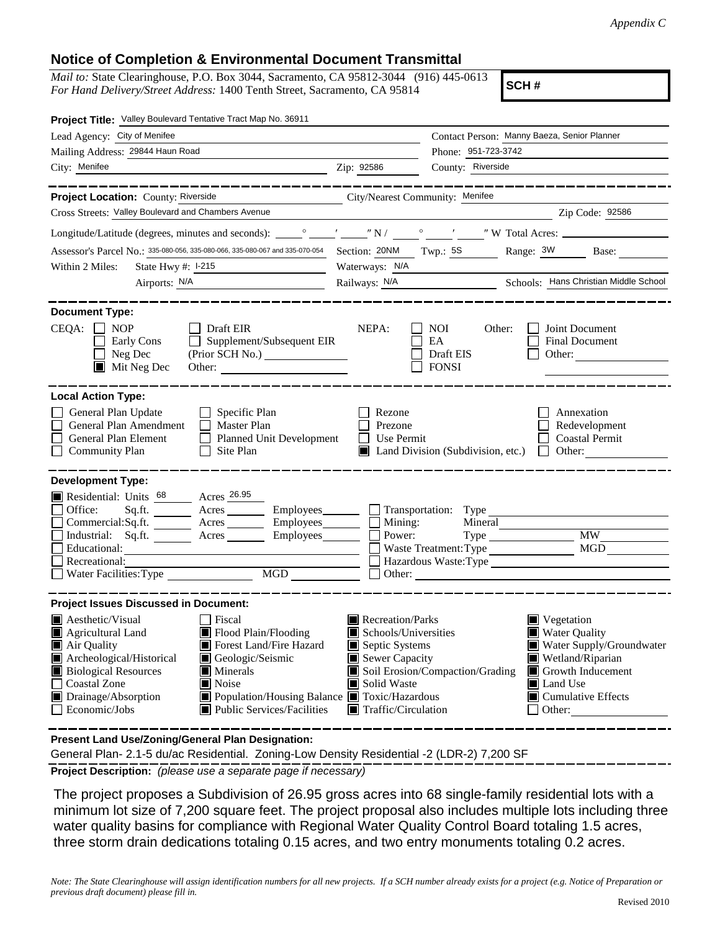## **Notice of Completion & Environmental Document Transmittal**

*Mail to:* State Clearinghouse, P.O. Box 3044, Sacramento, CA 95812-3044 (916) 445-0613 *For Hand Delivery/Street Address:* 1400 Tenth Street, Sacramento, CA 95814

**SCH #**

| Project Title: Valley Boulevard Tentative Tract Map No. 36911                                                                                                                                                                                                                                                                                                                                      |                                                                                                                                                                                                                                                                                                                                                           |  |  |
|----------------------------------------------------------------------------------------------------------------------------------------------------------------------------------------------------------------------------------------------------------------------------------------------------------------------------------------------------------------------------------------------------|-----------------------------------------------------------------------------------------------------------------------------------------------------------------------------------------------------------------------------------------------------------------------------------------------------------------------------------------------------------|--|--|
| Lead Agency: City of Menifee                                                                                                                                                                                                                                                                                                                                                                       | Contact Person: Manny Baeza, Senior Planner                                                                                                                                                                                                                                                                                                               |  |  |
| Mailing Address: 29844 Haun Road                                                                                                                                                                                                                                                                                                                                                                   | Phone: 951-723-3742                                                                                                                                                                                                                                                                                                                                       |  |  |
| City: Menifee<br><u> 1989 - Jan Barnett, fransk politik (d. 1989)</u>                                                                                                                                                                                                                                                                                                                              | County: Riverside<br>Zip: 92586                                                                                                                                                                                                                                                                                                                           |  |  |
| . <u>.</u> .                                                                                                                                                                                                                                                                                                                                                                                       | -----------------                                                                                                                                                                                                                                                                                                                                         |  |  |
| Project Location: County: Riverside                                                                                                                                                                                                                                                                                                                                                                | City/Nearest Community: Menifee                                                                                                                                                                                                                                                                                                                           |  |  |
| Cross Streets: Valley Boulevard and Chambers Avenue                                                                                                                                                                                                                                                                                                                                                | Zip Code: 92586                                                                                                                                                                                                                                                                                                                                           |  |  |
|                                                                                                                                                                                                                                                                                                                                                                                                    |                                                                                                                                                                                                                                                                                                                                                           |  |  |
|                                                                                                                                                                                                                                                                                                                                                                                                    | Assessor's Parcel No.: 335-080-056, 335-080-066, 335-080-067 and 335-070-054 Section: 20NM Twp.: 5S Range: 3W Base:                                                                                                                                                                                                                                       |  |  |
| Within 2 Miles:<br>State Hwy #: 1-215                                                                                                                                                                                                                                                                                                                                                              | Waterways: N/A                                                                                                                                                                                                                                                                                                                                            |  |  |
| Airports: N/A                                                                                                                                                                                                                                                                                                                                                                                      | Railways: N/A<br>Schools: Hans Christian Middle School                                                                                                                                                                                                                                                                                                    |  |  |
| <b>Document Type:</b><br>$CEQA: \Box NP$<br>$\Box$ Draft EIR<br>$\Box$<br>Supplement/Subsequent EIR<br>Early Cons<br>Neg Dec<br>(Prior SCH No.)<br>$\blacksquare$<br>$\blacksquare$ Mit Neg Dec                                                                                                                                                                                                    | Joint Document<br>NEPA:<br><b>NOI</b><br>Other:<br>EA<br>Final Document<br>Draft EIS<br>Other:<br><b>FONSI</b>                                                                                                                                                                                                                                            |  |  |
| <b>Local Action Type:</b><br>General Plan Update<br>$\Box$ Specific Plan<br>General Plan Amendment<br>$\Box$ Master Plan<br>General Plan Element<br>Planned Unit Development<br><b>Community Plan</b><br>$\Box$ Site Plan                                                                                                                                                                          | Rezone<br>Annexation<br>Redevelopment<br>Prezone<br>Use Permit<br><b>Coastal Permit</b><br>■ Land Division (Subdivision, etc.) □ Other:                                                                                                                                                                                                                   |  |  |
| <b>Development Type:</b><br>Residential: Units 68 Acres 26.95<br>Office:<br>Commercial:Sq.ft. ________ Acres __________ Employees_________ $\Box$<br>Industrial: Sq.ft. _______ Acres<br>Employees_______<br>Educational:<br>Recreational:                                                                                                                                                         | Employees Transportation: Type<br>Mining:<br>Mineral<br><b>MW</b><br>Power:<br><b>MGD</b><br>Waste Treatment: Type<br>Hazardous Waste: Type<br>$\Box$ Other:                                                                                                                                                                                              |  |  |
| <b>Project Issues Discussed in Document:</b>                                                                                                                                                                                                                                                                                                                                                       |                                                                                                                                                                                                                                                                                                                                                           |  |  |
| <b>A</b> esthetic/Visual<br><b>Fiscal</b><br>Agricultural Land<br>Flood Plain/Flooding<br>Forest Land/Fire Hazard<br>Air Quality<br>Geologic/Seismic<br>Archeological/Historical<br><b>Biological Resources</b><br>$\blacksquare$ Minerals<br><b>Coastal Zone</b><br>Noise<br>Drainage/Absorption<br>■ Population/Housing Balance ■ Toxic/Hazardous<br>Economic/Jobs<br>Public Services/Facilities | Recreation/Parks<br>Vegetation<br>Schools/Universities<br><b>Water Quality</b><br>Septic Systems<br>Water Supply/Groundwater<br>Sewer Capacity<br>Wetland/Riparian<br>Soil Erosion/Compaction/Grading<br>$\blacksquare$ Growth Inducement<br>Solid Waste<br>Land Use<br>$\blacksquare$ Cumulative Effects<br>$\blacksquare$ Traffic/Circulation<br>Other: |  |  |

**Present Land Use/Zoning/General Plan Designation:**

General Plan- 2.1-5 du/ac Residential. Zoning-Low Density Residential -2 (LDR-2) 7,200 SF

**Project Description:** *(please use a separate page if necessary)*

The project proposes a Subdivision of 26.95 gross acres into 68 single-family residential lots with a minimum lot size of 7,200 square feet. The project proposal also includes multiple lots including three water quality basins for compliance with Regional Water Quality Control Board totaling 1.5 acres, three storm drain dedications totaling 0.15 acres, and two entry monuments totaling 0.2 acres.

*Note: The State Clearinghouse will assign identification numbers for all new projects. If a SCH number already exists for a project (e.g. Notice of Preparation or previous draft document) please fill in.*